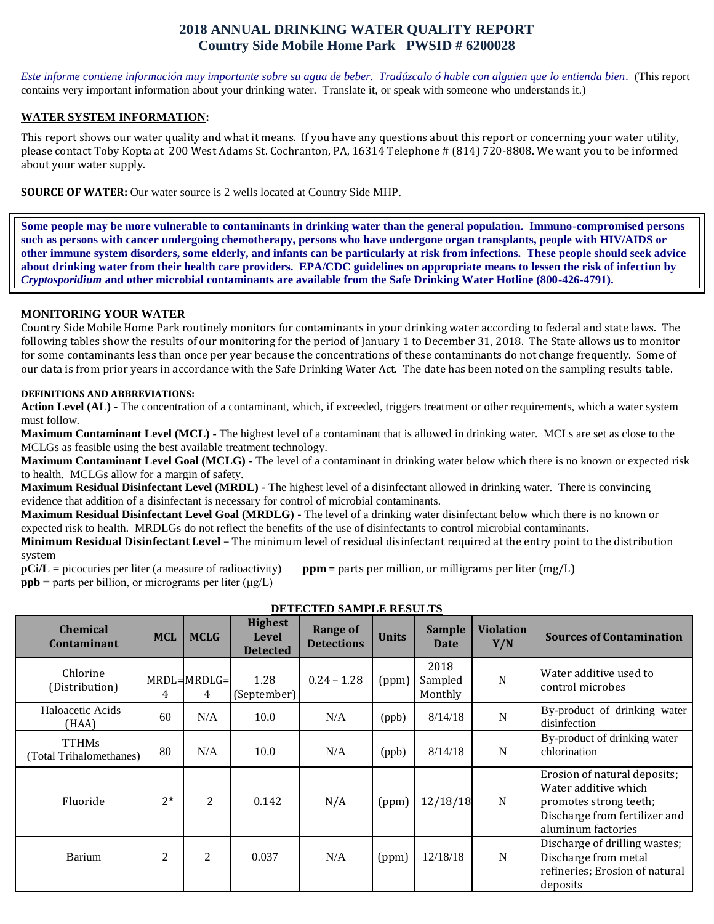# **2018 ANNUAL DRINKING WATER QUALITY REPORT Country Side Mobile Home Park PWSID # 6200028**

*Este informe contiene información muy importante sobre su agua de beber. Tradúzcalo ó hable con alguien que lo entienda bien.* (This report contains very important information about your drinking water. Translate it, or speak with someone who understands it.)

#### **WATER SYSTEM INFORMATION:**

This report shows our water quality and what it means. If you have any questions about this report or concerning your water utility, please contact Toby Kopta at 200 West Adams St. Cochranton, PA, 16314 Telephone # (814) 720-8808. We want you to be informed about your water supply.

**SOURCE OF WATER:** Our water source is 2 wells located at Country Side MHP.

**Some people may be more vulnerable to contaminants in drinking water than the general population. Immuno-compromised persons such as persons with cancer undergoing chemotherapy, persons who have undergone organ transplants, people with HIV/AIDS or other immune system disorders, some elderly, and infants can be particularly at risk from infections. These people should seek advice about drinking water from their health care providers. EPA/CDC guidelines on appropriate means to lessen the risk of infection by**  *Cryptosporidium* **and other microbial contaminants are available from the Safe Drinking Water Hotline (800-426-4791).**

### **MONITORING YOUR WATER**

Country Side Mobile Home Park routinely monitors for contaminants in your drinking water according to federal and state laws. The following tables show the results of our monitoring for the period of January 1 to December 31, 2018. The State allows us to monitor for some contaminants less than once per year because the concentrations of these contaminants do not change frequently. Some of our data is from prior years in accordance with the Safe Drinking Water Act. The date has been noted on the sampling results table.

#### **DEFINITIONS AND ABBREVIATIONS:**

**Action Level (AL) -** The concentration of a contaminant, which, if exceeded, triggers treatment or other requirements, which a water system must follow.

**Maximum Contaminant Level (MCL) -** The highest level of a contaminant that is allowed in drinking water. MCLs are set as close to the MCLGs as feasible using the best available treatment technology.

**Maximum Contaminant Level Goal (MCLG) -** The level of a contaminant in drinking water below which there is no known or expected risk to health. MCLGs allow for a margin of safety.

**Maximum Residual Disinfectant Level (MRDL) -** The highest level of a disinfectant allowed in drinking water. There is convincing evidence that addition of a disinfectant is necessary for control of microbial contaminants.

**Maximum Residual Disinfectant Level Goal (MRDLG) -** The level of a drinking water disinfectant below which there is no known or expected risk to health. MRDLGs do not reflect the benefits of the use of disinfectants to control microbial contaminants.

**Minimum Residual Disinfectant Level** – The minimum level of residual disinfectant required at the entry point to the distribution system

**pCi/L** = picocuries per liter (a measure of radioactivity) **ppm** = parts per million, or milligrams per liter (mg/L) **ppb** = parts per billion, or micrograms per liter  $(\mu g/L)$ 

| DETECTED SAMILEE NESULTS                |                |                    |                                                   |                                      |              |                            |                         |                                                                                                                                       |  |  |  |
|-----------------------------------------|----------------|--------------------|---------------------------------------------------|--------------------------------------|--------------|----------------------------|-------------------------|---------------------------------------------------------------------------------------------------------------------------------------|--|--|--|
| <b>Chemical</b><br><b>Contaminant</b>   | <b>MCL</b>     | <b>MCLG</b>        | <b>Highest</b><br><b>Level</b><br><b>Detected</b> | <b>Range of</b><br><b>Detections</b> | <b>Units</b> | <b>Sample</b><br>Date      | <b>Violation</b><br>Y/N | <b>Sources of Contamination</b>                                                                                                       |  |  |  |
| Chlorine<br>(Distribution)              | 4              | $MRDL=MRDLG=$<br>4 | 1.28<br>(September)                               | $0.24 - 1.28$                        | (ppm)        | 2018<br>Sampled<br>Monthly | N                       | Water additive used to<br>control microbes                                                                                            |  |  |  |
| Haloacetic Acids<br>(HAA)               | 60             | N/A                | 10.0                                              | N/A                                  | (ppb)        | 8/14/18                    | $\mathbf N$             | By-product of drinking water<br>disinfection                                                                                          |  |  |  |
| <b>TTHMs</b><br>(Total Trihalomethanes) | 80             | N/A                | 10.0                                              | N/A                                  | (ppb)        | 8/14/18                    | $\mathbf N$             | By-product of drinking water<br>chlorination                                                                                          |  |  |  |
| Fluoride                                | $2*$           | $\overline{2}$     | 0.142                                             | N/A                                  | (ppm)        | 12/18/18                   | $\mathbf N$             | Erosion of natural deposits;<br>Water additive which<br>promotes strong teeth;<br>Discharge from fertilizer and<br>aluminum factories |  |  |  |
| Barium                                  | $\overline{c}$ | 2                  | 0.037                                             | N/A                                  | (ppm)        | 12/18/18                   | ${\bf N}$               | Discharge of drilling wastes;<br>Discharge from metal<br>refineries; Erosion of natural<br>deposits                                   |  |  |  |

**DETECTED SAMPLE RESULTS**